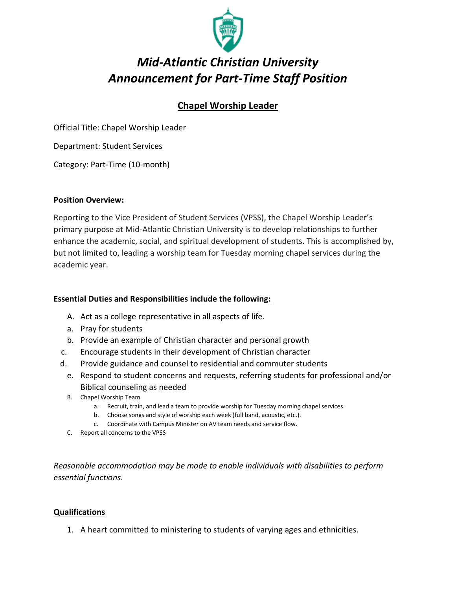

# *Mid-Atlantic Christian University Announcement for Part-Time Staff Position*

## **Chapel Worship Leader**

Official Title: Chapel Worship Leader

Department: Student Services

Category: Part-Time (10-month)

#### **Position Overview:**

Reporting to the Vice President of Student Services (VPSS), the Chapel Worship Leader's primary purpose at Mid-Atlantic Christian University is to develop relationships to further enhance the academic, social, and spiritual development of students. This is accomplished by, but not limited to, leading a worship team for Tuesday morning chapel services during the academic year.

### **Essential Duties and Responsibilities include the following:**

- A. Act as a college representative in all aspects of life.
- a. Pray for students
- b. Provide an example of Christian character and personal growth
- c. Encourage students in their development of Christian character
- d. Provide guidance and counsel to residential and commuter students
	- e. Respond to student concerns and requests, referring students for professional and/or Biblical counseling as needed
	- B. Chapel Worship Team
		- a. Recruit, train, and lead a team to provide worship for Tuesday morning chapel services.
		- b. Choose songs and style of worship each week (full band, acoustic, etc.).
		- c. Coordinate with Campus Minister on AV team needs and service flow.
	- C. Report all concerns to the VPSS

*Reasonable accommodation may be made to enable individuals with disabilities to perform essential functions.* 

#### **Qualifications**

1. A heart committed to ministering to students of varying ages and ethnicities.